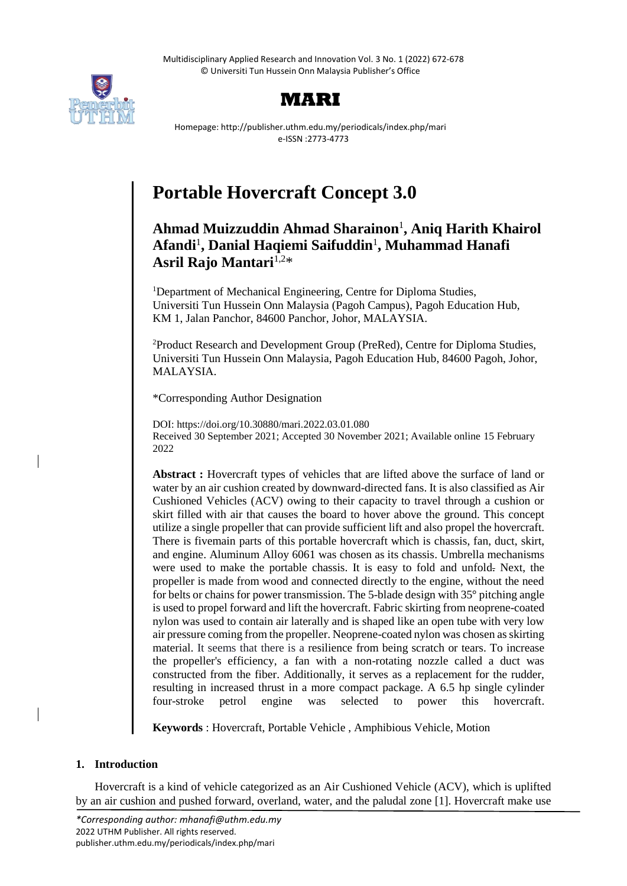Multidisciplinary Applied Research and Innovation Vol. 3 No. 1 (2022) 672-678 © Universiti Tun Hussein Onn Malaysia Publisher's Office





Homepage: http://publisher.uthm.edu.my/periodicals/index.php/mari e-ISSN :2773-4773

# **Portable Hovercraft Concept 3.0**

## **Ahmad Muizzuddin Ahmad Sharainon**<sup>1</sup> **, Aniq Harith Khairol Afandi**<sup>1</sup> **, Danial Haqiemi Saifuddin**<sup>1</sup> **, Muhammad Hanafi**  Asril Rajo Mantari<sup>1,2\*</sup>

<sup>1</sup>Department of Mechanical Engineering, Centre for Diploma Studies, Universiti Tun Hussein Onn Malaysia (Pagoh Campus), Pagoh Education Hub, KM 1, Jalan Panchor, 84600 Panchor, Johor, MALAYSIA.

<sup>2</sup>Product Research and Development Group (PreRed), Centre for Diploma Studies, Universiti Tun Hussein Onn Malaysia, Pagoh Education Hub, 84600 Pagoh, Johor, MALAYSIA.

\*Corresponding Author Designation

DOI: https://doi.org/10.30880/mari.2022.03.01.080 Received 30 September 2021; Accepted 30 November 2021; Available online 15 February 2022

**Abstract :** Hovercraft types of vehicles that are lifted above the surface of land or water by an air cushion created by downward-directed fans. It is also classified as Air Cushioned Vehicles (ACV) owing to their capacity to travel through a cushion or skirt filled with air that causes the board to hover above the ground. This concept utilize a single propeller that can provide sufficient lift and also propel the hovercraft. There is fivemain parts of this portable hovercraft which is chassis, fan, duct, skirt, and engine. Aluminum Alloy 6061 was chosen as its chassis. Umbrella mechanisms were used to make the portable chassis. It is easy to fold and unfold. Next, the propeller is made from wood and connected directly to the engine, without the need for belts or chains for power transmission. The 5-blade design with 35° pitching angle is used to propel forward and lift the hovercraft. Fabric skirting from neoprene-coated nylon was used to contain air laterally and is shaped like an open tube with very low air pressure coming from the propeller. Neoprene-coated nylon was chosen as skirting material. It seems that there is a resilience from being scratch or tears. To increase the propeller's efficiency, a fan with a non-rotating nozzle called a duct was constructed from the fiber. Additionally, it serves as a replacement for the rudder, resulting in increased thrust in a more compact package. A 6.5 hp single cylinder four-stroke petrol engine was selected to power this hovercraft.

**Keywords** : Hovercraft, Portable Vehicle , Amphibious Vehicle, Motion

## **1. Introduction**

Hovercraft is a kind of vehicle categorized as an Air Cushioned Vehicle (ACV), which is uplifted by an air cushion and pushed forward, overland, water, and the paludal zone [1]. Hovercraft make use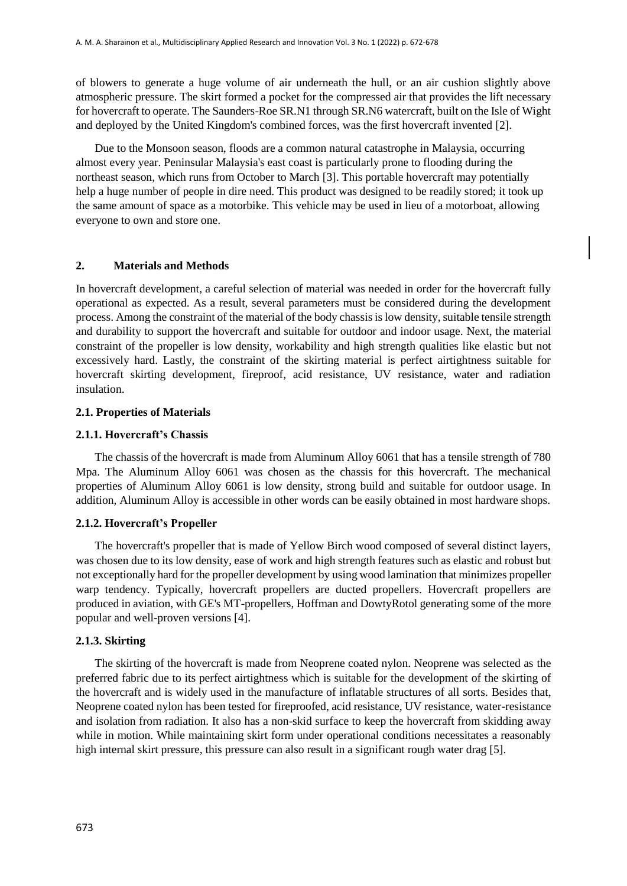of blowers to generate a huge volume of air underneath the hull, or an air cushion slightly above atmospheric pressure. The skirt formed a pocket for the compressed air that provides the lift necessary for hovercraft to operate. The Saunders-Roe SR.N1 through SR.N6 watercraft, built on the Isle of Wight and deployed by the United Kingdom's combined forces, was the first hovercraft invented [2].

Due to the Monsoon season, floods are a common natural catastrophe in Malaysia, occurring almost every year. Peninsular Malaysia's east coast is particularly prone to flooding during the northeast season, which runs from October to March [3]. This portable hovercraft may potentially help a huge number of people in dire need. This product was designed to be readily stored; it took up the same amount of space as a motorbike. This vehicle may be used in lieu of a motorboat, allowing everyone to own and store one.

## **2. Materials and Methods**

In hovercraft development, a careful selection of material was needed in order for the hovercraft fully operational as expected. As a result, several parameters must be considered during the development process. Among the constraint of the material of the body chassis is low density, suitable tensile strength and durability to support the hovercraft and suitable for outdoor and indoor usage. Next, the material constraint of the propeller is low density, workability and high strength qualities like elastic but not excessively hard. Lastly, the constraint of the skirting material is perfect airtightness suitable for hovercraft skirting development, fireproof, acid resistance, UV resistance, water and radiation insulation.

## **2.1. Properties of Materials**

#### **2.1.1. Hovercraft's Chassis**

The chassis of the hovercraft is made from Aluminum Alloy 6061 that has a tensile strength of 780 Mpa. The Aluminum Alloy 6061 was chosen as the chassis for this hovercraft. The mechanical properties of Aluminum Alloy 6061 is low density, strong build and suitable for outdoor usage. In addition, Aluminum Alloy is accessible in other words can be easily obtained in most hardware shops.

## **2.1.2. Hovercraft's Propeller**

The hovercraft's propeller that is made of Yellow Birch wood composed of several distinct layers, was chosen due to its low density, ease of work and high strength features such as elastic and robust but not exceptionally hard for the propeller development by using wood lamination that minimizes propeller warp tendency. Typically, hovercraft propellers are ducted propellers. Hovercraft propellers are produced in aviation, with GE's MT-propellers, Hoffman and DowtyRotol generating some of the more popular and well-proven versions [4].

#### **2.1.3. Skirting**

The skirting of the hovercraft is made from Neoprene coated nylon. Neoprene was selected as the preferred fabric due to its perfect airtightness which is suitable for the development of the skirting of the hovercraft and is widely used in the manufacture of inflatable structures of all sorts. Besides that, Neoprene coated nylon has been tested for fireproofed, acid resistance, UV resistance, water-resistance and isolation from radiation. It also has a non-skid surface to keep the hovercraft from skidding away while in motion. While maintaining skirt form under operational conditions necessitates a reasonably high internal skirt pressure, this pressure can also result in a significant rough water drag [5].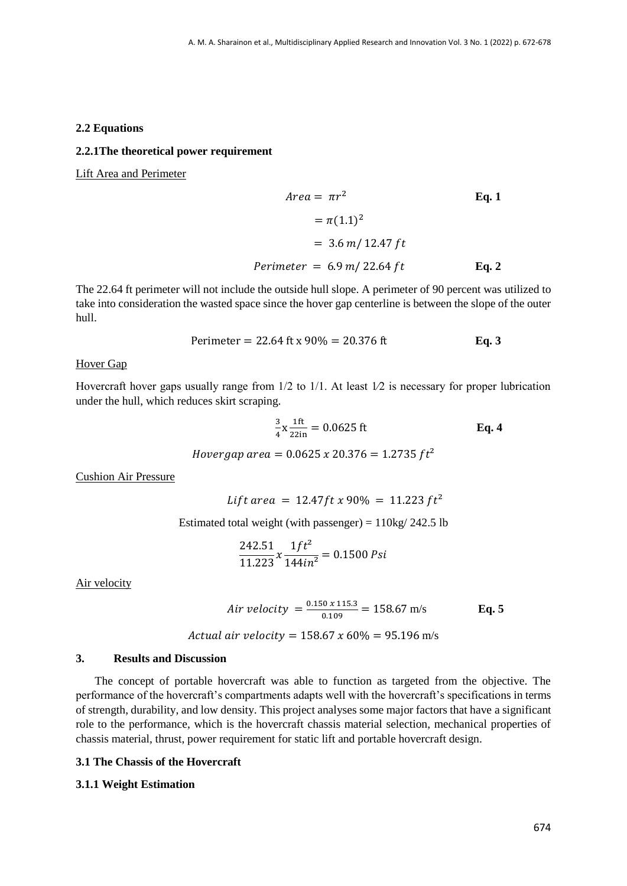#### **2.2 Equations**

#### **2.2.1The theoretical power requirement**

Lift Area and Perimeter

Area = 
$$
\pi r^2
$$
 Eq. 1  
\n=  $\pi (1.1)^2$   
\n= 3.6 m/ 12.47 ft  
\nPerimeter = 6.9 m/ 22.64 ft  
\nEq. 2

The 22.64 ft perimeter will not include the outside hull slope. A perimeter of 90 percent was utilized to take into consideration the wasted space since the hover gap centerline is between the slope of the outer hull.

Perimeter = 22.64 ft x 90% = 20.376 ft **Eq. 3**

## Hover Gap

Hovercraft hover gaps usually range from  $1/2$  to  $1/1$ . At least  $1/2$  is necessary for proper lubrication under the hull, which reduces skirt scraping.

$$
\frac{3}{4}x\frac{1ft}{22in} = 0.0625 \text{ ft}
$$
\nEq. 4  
\nHowever,  $gap \text{ area} = 0.0625 \times 20.376 = 1.2735 \text{ ft}^2$ 

Cushion Air Pressure

Lift area =  $12.47$ ft x 90% = 11.223 ft<sup>2</sup>

Estimated total weight (with passenger) =  $110\text{kg}/242.5$  lb

$$
\frac{242.51}{11.223}x\frac{1ft^2}{144in^2} = 0.1500\ \text{Psi}
$$

Air velocity

$$
Air velocity = \frac{0.150 \times 115.3}{0.109} = 158.67 \text{ m/s}
$$
 Eq. 5

*Actual air velocity* = 
$$
158.67 \times 60\% = 95.196
$$
 m/s

#### **3. Results and Discussion**

The concept of portable hovercraft was able to function as targeted from the objective. The performance of the hovercraft's compartments adapts well with the hovercraft's specifications in terms of strength, durability, and low density. This project analyses some major factors that have a significant role to the performance, which is the hovercraft chassis material selection, mechanical properties of chassis material, thrust, power requirement for static lift and portable hovercraft design.

## **3.1 The Chassis of the Hovercraft**

#### **3.1.1 Weight Estimation**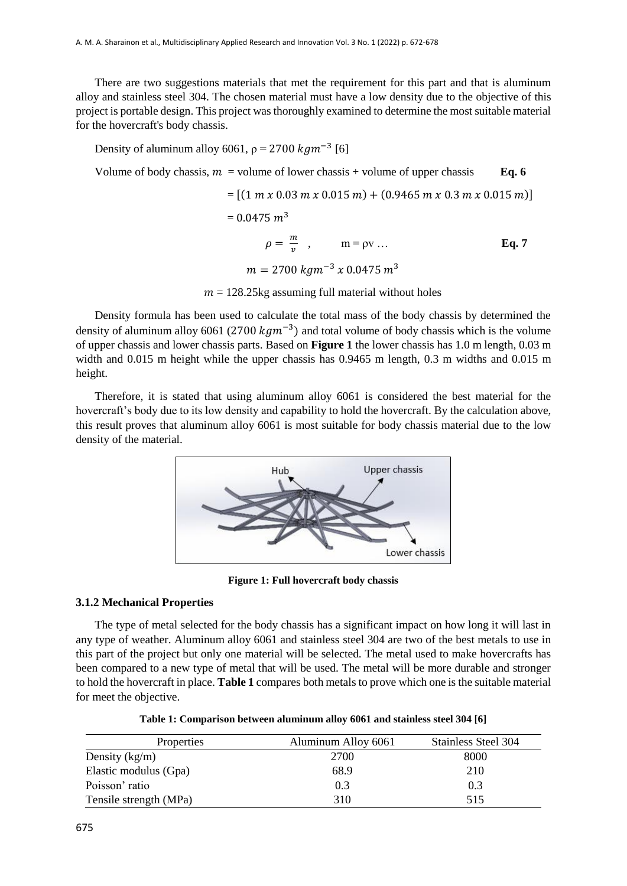There are two suggestions materials that met the requirement for this part and that is aluminum alloy and stainless steel 304. The chosen material must have a low density due to the objective of this project is portable design. This project was thoroughly examined to determine the most suitable material for the hovercraft's body chassis.

Density of aluminum alloy 6061,  $\rho = 2700 \ kgm^{-3}$  [6]

Volume of body chassis,  $m =$  volume of lower chassis + volume of upper chassis **Eq. 6** 

$$
= [(1 m x 0.03 m x 0.015 m) + (0.9465 m x 0.3 m x 0.015 m)]
$$
  
= 0.0475 m<sup>3</sup>  

$$
\rho = \frac{m}{v} , \qquad m = \rho v ...
$$
 Eq. 7  

$$
m = 2700 kg m^{-3} x 0.0475 m^{3}
$$

 $m = 128.25$ kg assuming full material without holes

Density formula has been used to calculate the total mass of the body chassis by determined the density of aluminum alloy 6061 (2700  $kgm^{-3}$ ) and total volume of body chassis which is the volume of upper chassis and lower chassis parts. Based on **Figure 1** the lower chassis has 1.0 m length, 0.03 m width and 0.015 m height while the upper chassis has 0.9465 m length, 0.3 m widths and 0.015 m height.

Therefore, it is stated that using aluminum alloy 6061 is considered the best material for the hovercraft's body due to its low density and capability to hold the hovercraft. By the calculation above, this result proves that aluminum alloy 6061 is most suitable for body chassis material due to the low density of the material.



**Figure 1: Full hovercraft body chassis**

#### **3.1.2 Mechanical Properties**

The type of metal selected for the body chassis has a significant impact on how long it will last in any type of weather. Aluminum alloy 6061 and stainless steel 304 are two of the best metals to use in this part of the project but only one material will be selected. The metal used to make hovercrafts has been compared to a new type of metal that will be used. The metal will be more durable and stronger to hold the hovercraft in place. **Table 1** compares both metals to prove which one is the suitable material for meet the objective.

| Properties             | Aluminum Alloy 6061 | <b>Stainless Steel 304</b> |
|------------------------|---------------------|----------------------------|
| Density $(kg/m)$       | 2700                | 8000                       |
| Elastic modulus (Gpa)  | 68.9                | 210                        |
| Poisson' ratio         | 0.3                 | 0.3                        |
| Tensile strength (MPa) | 310                 | 515                        |

**Table 1: Comparison between aluminum alloy 6061 and stainless steel 304 [6]**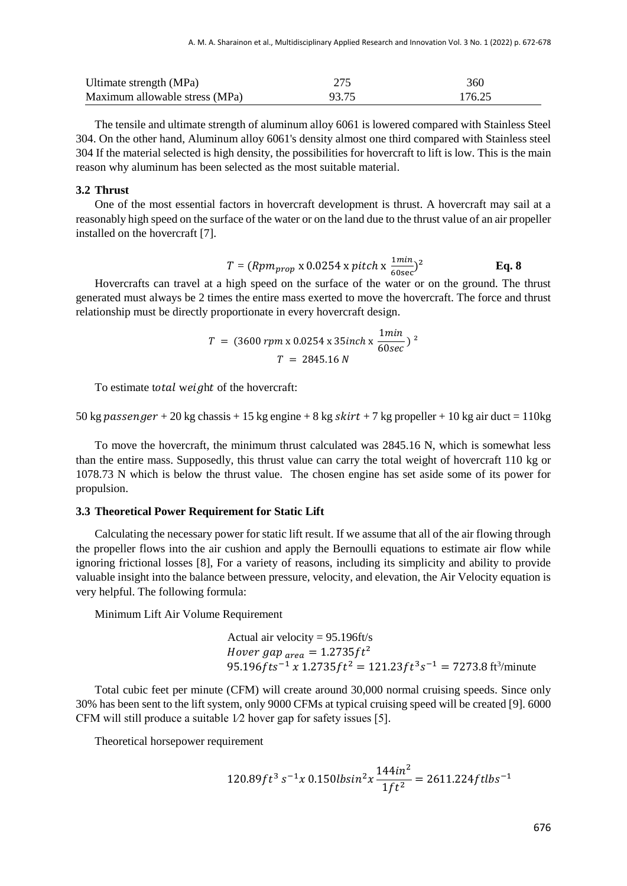| Ultimate strength (MPa)        |       | 360    |
|--------------------------------|-------|--------|
| Maximum allowable stress (MPa) | 93.75 | 176.25 |

The tensile and ultimate strength of aluminum alloy 6061 is lowered compared with Stainless Steel 304. On the other hand, Aluminum alloy 6061's density almost one third compared with Stainless steel 304 If the material selected is high density, the possibilities for hovercraft to lift is low. This is the main reason why aluminum has been selected as the most suitable material.

#### **3.2 Thrust**

One of the most essential factors in hovercraft development is thrust. A hovercraft may sail at a reasonably high speed on the surface of the water or on the land due to the thrust value of an air propeller installed on the hovercraft [7].

$$
T = (Rpm_{prop} \times 0.0254 \times pitch \times \frac{1\,min}{60\,\text{sec}})^2
$$
 Eq. 8

Hovercrafts can travel at a high speed on the surface of the water or on the ground. The thrust generated must always be 2 times the entire mass exerted to move the hovercraft. The force and thrust relationship must be directly proportionate in every hovercraft design.

$$
T = (3600 \, rpm \, \text{x} \, 0.0254 \, \text{x} \, 35 inch \, \text{x} \, \frac{1 min}{60 \, \text{sec}})^2
$$
\n
$$
T = 2845.16 \, N
$$

To estimate total weight of the hovercraft:

50 kg passenger + 20 kg chassis + 15 kg engine + 8 kg skirt + 7 kg propeller + 10 kg air duct = 110 kg

To move the hovercraft, the minimum thrust calculated was 2845.16 N, which is somewhat less than the entire mass. Supposedly, this thrust value can carry the total weight of hovercraft 110 kg or 1078.73 N which is below the thrust value. The chosen engine has set aside some of its power for propulsion.

#### **3.3 Theoretical Power Requirement for Static Lift**

Calculating the necessary power for static lift result. If we assume that all of the air flowing through the propeller flows into the air cushion and apply the Bernoulli equations to estimate air flow while ignoring frictional losses [8], For a variety of reasons, including its simplicity and ability to provide valuable insight into the balance between pressure, velocity, and elevation, the Air Velocity equation is very helpful. The following formula:

Minimum Lift Air Volume Requirement

Actual air velocity = 95.196ft/s Hover gap  $_{area} = 1.2735 ft^2$ 95.196 $fts^{-1}$  x 1.2735 $ft^2$  = 121.23 $ft^3s^{-1}$  = 7273.8 ft<sup>3</sup>/minute

Total cubic feet per minute (CFM) will create around 30,000 normal cruising speeds. Since only 30% has been sent to the lift system, only 9000 CFMs at typical cruising speed will be created [9]. 6000 CFM will still produce a suitable 1⁄2 hover gap for safety issues [5].

Theoretical horsepower requirement

$$
120.89ft^3\,s^{-1}x\,0.150lbsin^2x\frac{144in^2}{1ft^2} = 2611.224ftlbs^{-1}
$$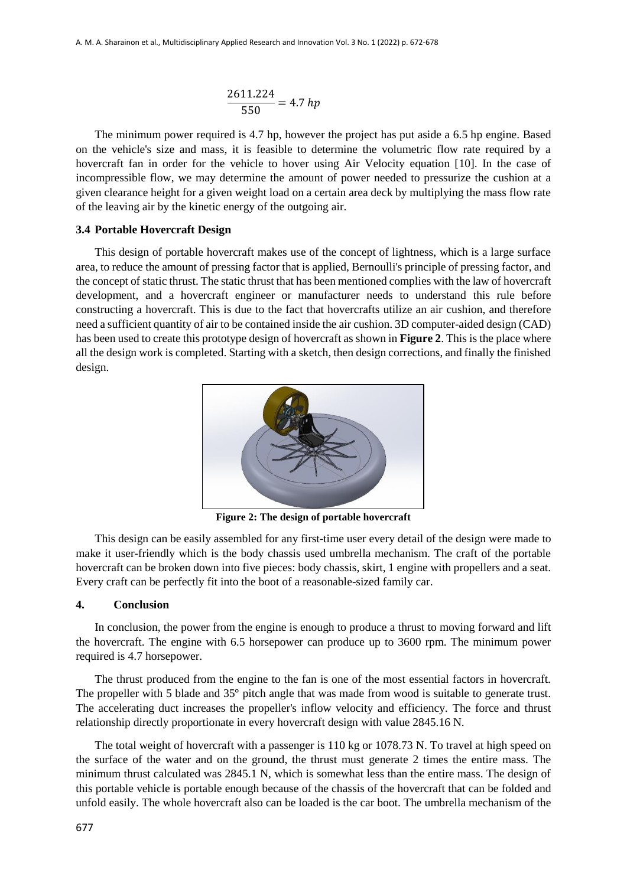$$
\frac{2611.224}{550} = 4.7\;hp
$$

The minimum power required is 4.7 hp, however the project has put aside a 6.5 hp engine. Based on the vehicle's size and mass, it is feasible to determine the volumetric flow rate required by a hovercraft fan in order for the vehicle to hover using Air Velocity equation [10]. In the case of incompressible flow, we may determine the amount of power needed to pressurize the cushion at a given clearance height for a given weight load on a certain area deck by multiplying the mass flow rate of the leaving air by the kinetic energy of the outgoing air.

## **3.4 Portable Hovercraft Design**

This design of portable hovercraft makes use of the concept of lightness, which is a large surface area, to reduce the amount of pressing factor that is applied, Bernoulli's principle of pressing factor, and the concept of static thrust. The static thrust that has been mentioned complies with the law of hovercraft development, and a hovercraft engineer or manufacturer needs to understand this rule before constructing a hovercraft. This is due to the fact that hovercrafts utilize an air cushion, and therefore need a sufficient quantity of air to be contained inside the air cushion. 3D computer-aided design (CAD) has been used to create this prototype design of hovercraft as shown in **Figure 2**. This is the place where all the design work is completed. Starting with a sketch, then design corrections, and finally the finished design.



**Figure 2: The design of portable hovercraft**

This design can be easily assembled for any first-time user every detail of the design were made to make it user-friendly which is the body chassis used umbrella mechanism. The craft of the portable hovercraft can be broken down into five pieces: body chassis, skirt, 1 engine with propellers and a seat. Every craft can be perfectly fit into the boot of a reasonable-sized family car.

#### **4. Conclusion**

In conclusion, the power from the engine is enough to produce a thrust to moving forward and lift the hovercraft. The engine with 6.5 horsepower can produce up to 3600 rpm. The minimum power required is 4.7 horsepower.

The thrust produced from the engine to the fan is one of the most essential factors in hovercraft. The propeller with 5 blade and 35° pitch angle that was made from wood is suitable to generate trust. The accelerating duct increases the propeller's inflow velocity and efficiency. The force and thrust relationship directly proportionate in every hovercraft design with value 2845.16 N.

The total weight of hovercraft with a passenger is 110 kg or 1078.73 N. To travel at high speed on the surface of the water and on the ground, the thrust must generate 2 times the entire mass. The minimum thrust calculated was 2845.1 N, which is somewhat less than the entire mass. The design of this portable vehicle is portable enough because of the chassis of the hovercraft that can be folded and unfold easily. The whole hovercraft also can be loaded is the car boot. The umbrella mechanism of the